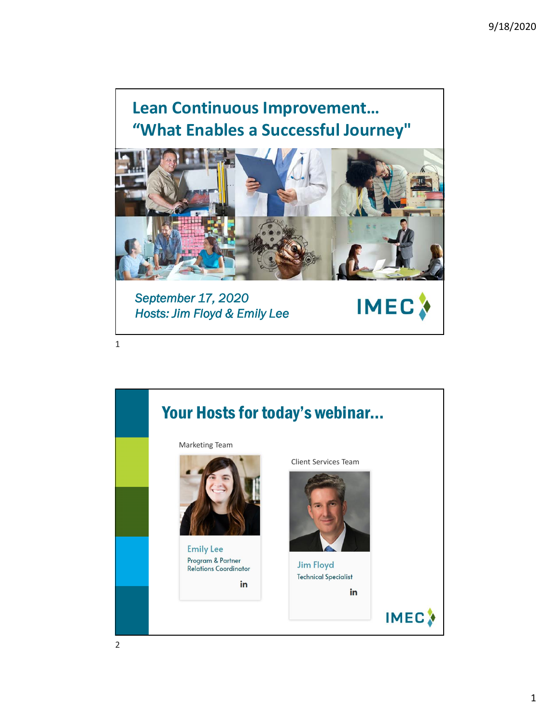## **Lean Continuous Improvement… "What Enables a Successful Journey"**



**IMEC** 

*September 17, 2020 Hosts: Jim Floyd & Emily Lee*

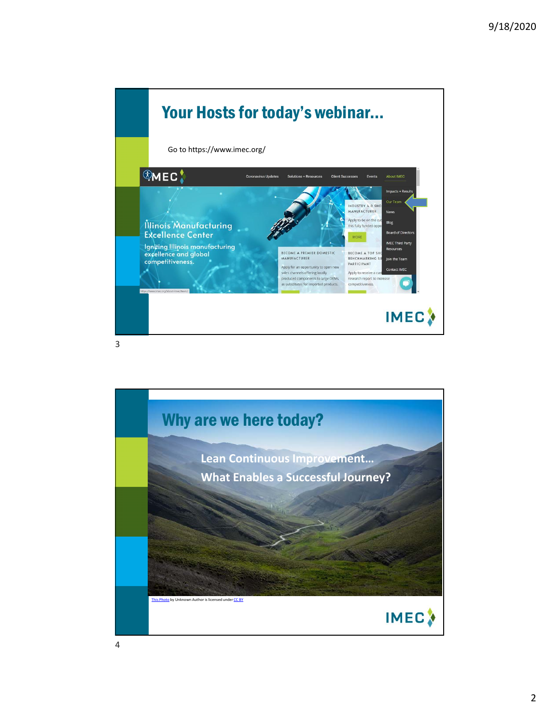

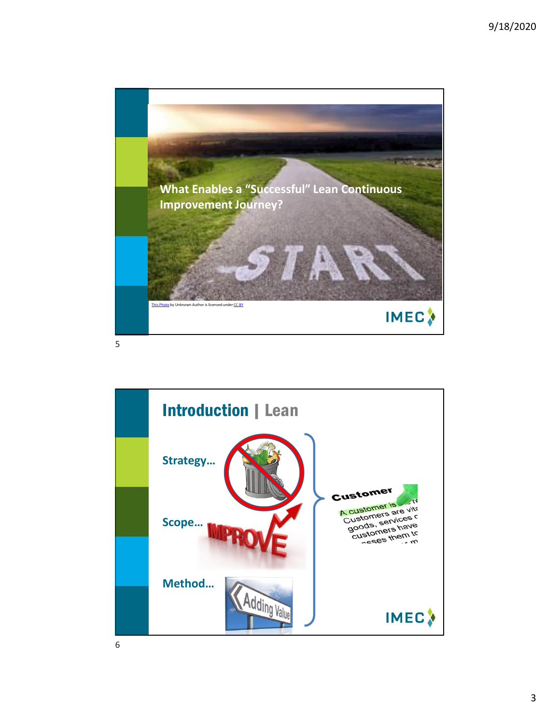

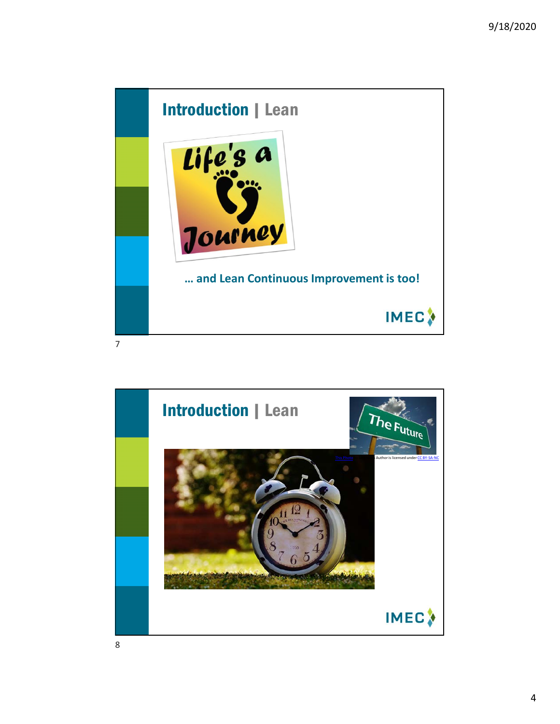

Introduction | Lean The Future This Photo by Unknown Author is licensed under CC BY-SA-NC **IMEC**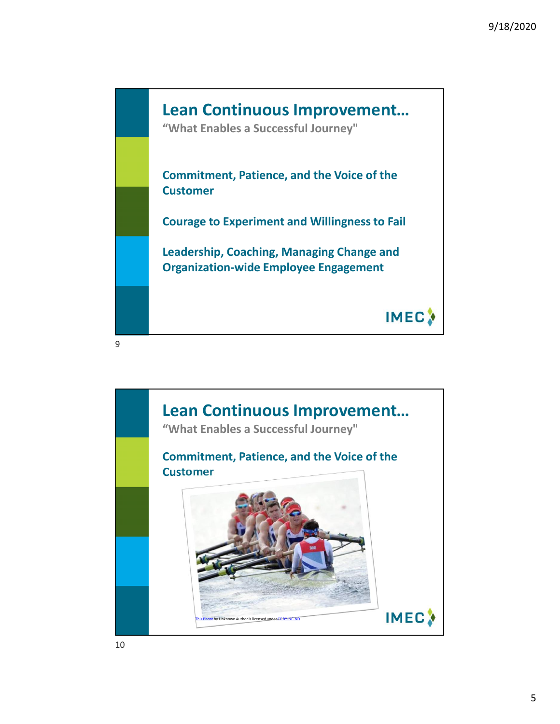

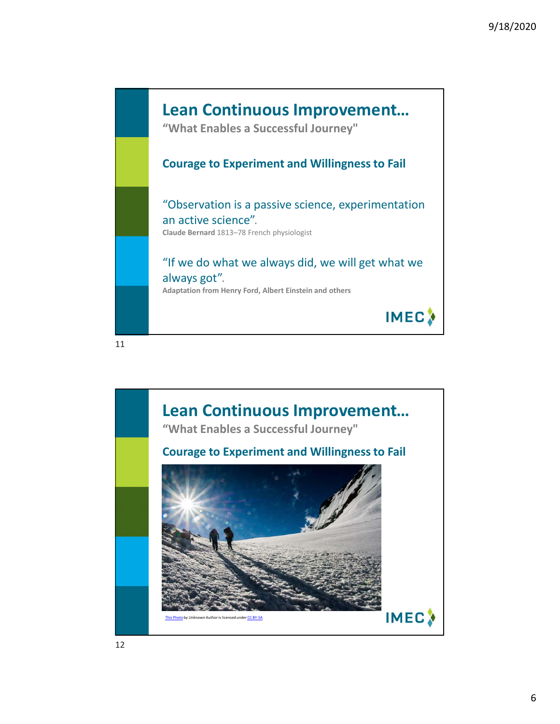

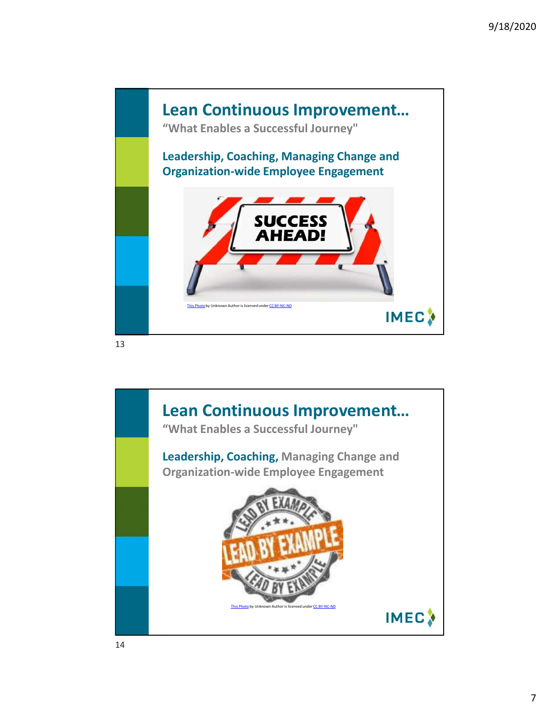

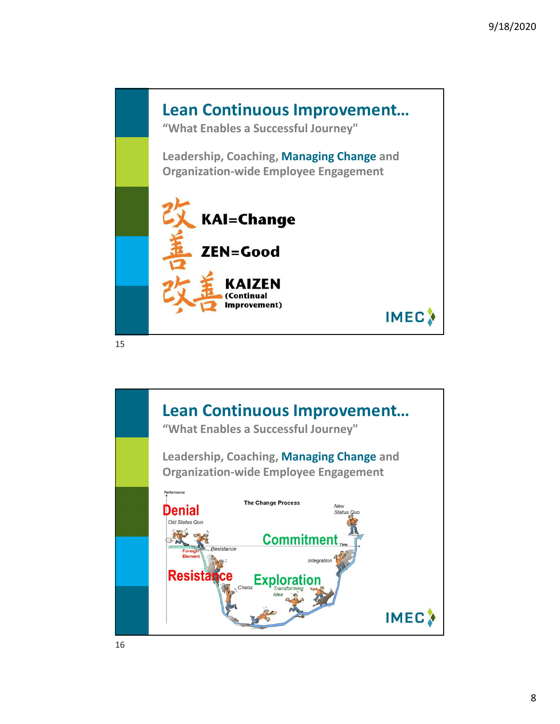

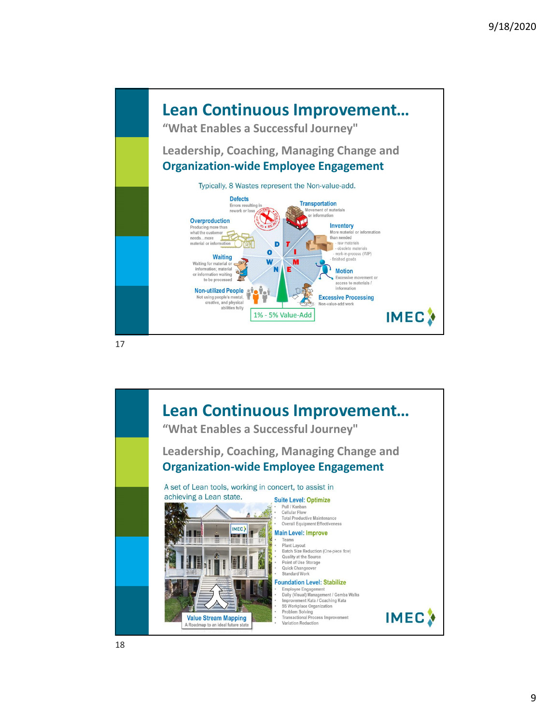

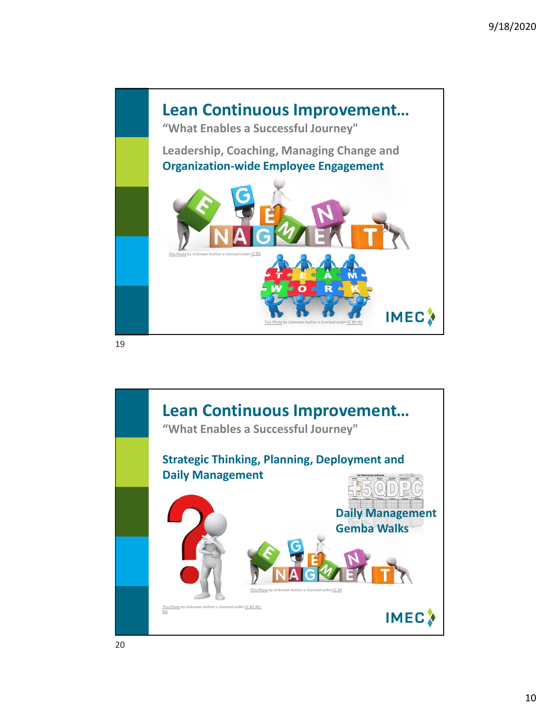